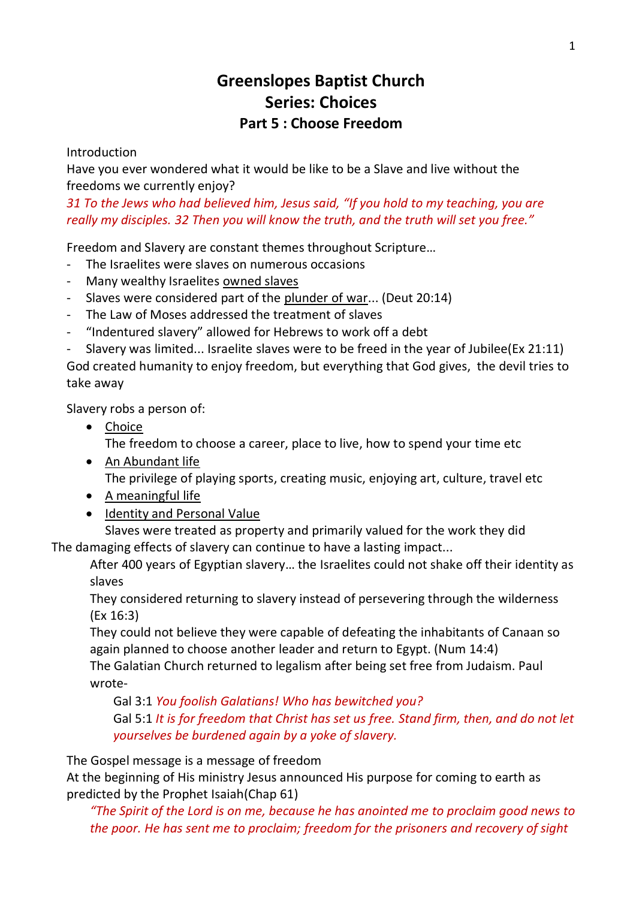# **Greenslopes Baptist Church Series: Choices Part 5 : Choose Freedom**

Introduction

Have you ever wondered what it would be like to be a Slave and live without the freedoms we currently enjoy?

*31 To the Jews who had believed him, Jesus said, "If you hold to my teaching, you are really my disciples. 32 Then you will know the truth, and the truth will set you free."*

Freedom and Slavery are constant themes throughout Scripture…

- The Israelites were slaves on numerous occasions
- Many wealthy Israelites owned slaves
- Slaves were considered part of the plunder of war... (Deut 20:14)
- The Law of Moses addressed the treatment of slaves
- "Indentured slavery" allowed for Hebrews to work off a debt
- Slavery was limited... Israelite slaves were to be freed in the year of Jubilee(Ex 21:11)

God created humanity to enjoy freedom, but everything that God gives, the devil tries to take away

Slavery robs a person of:

- Choice The freedom to choose a career, place to live, how to spend your time etc
- An Abundant life The privilege of playing sports, creating music, enjoying art, culture, travel etc
- A meaningful life
- Identity and Personal Value

Slaves were treated as property and primarily valued for the work they did The damaging effects of slavery can continue to have a lasting impact...

After 400 years of Egyptian slavery… the Israelites could not shake off their identity as slaves

They considered returning to slavery instead of persevering through the wilderness (Ex 16:3)

They could not believe they were capable of defeating the inhabitants of Canaan so again planned to choose another leader and return to Egypt. (Num 14:4) The Galatian Church returned to legalism after being set free from Judaism. Paul

wrote-

Gal 3:1 *You foolish Galatians! Who has bewitched you?*

Gal 5:1 *It is for freedom that Christ has set us free. Stand firm, then, and do not let yourselves be burdened again by a yoke of slavery.*

The Gospel message is a message of freedom

At the beginning of His ministry Jesus announced His purpose for coming to earth as predicted by the Prophet Isaiah(Chap 61)

*"The Spirit of the Lord is on me, because he has anointed me to proclaim good news to the poor. He has sent me to proclaim; freedom for the prisoners and recovery of sight*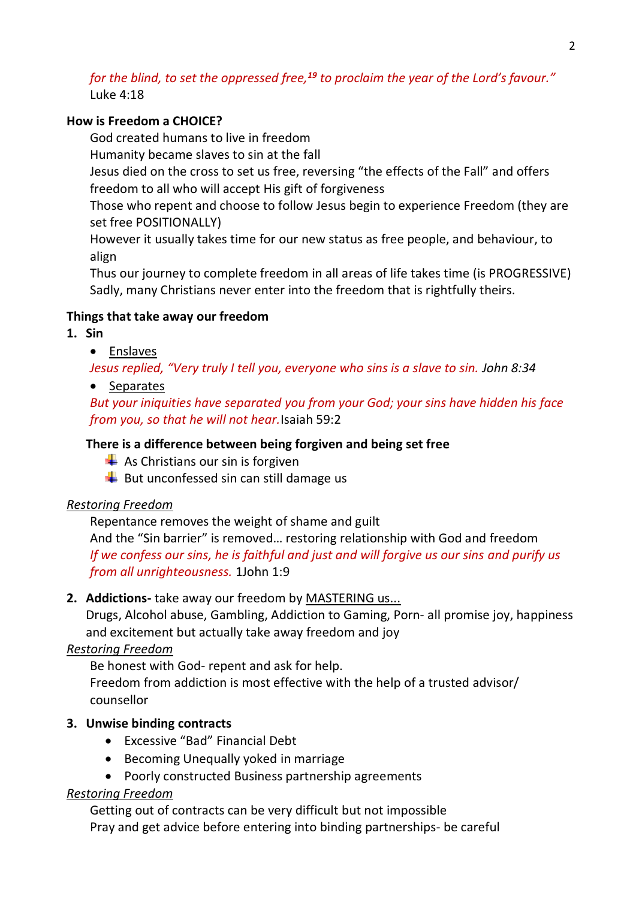## *for the blind, to set the oppressed free,<sup>19</sup> to proclaim the year of the Lord's favour."* Luke 4:18

### **How is Freedom a CHOICE?**

God created humans to live in freedom

Humanity became slaves to sin at the fall

Jesus died on the cross to set us free, reversing "the effects of the Fall" and offers freedom to all who will accept His gift of forgiveness

Those who repent and choose to follow Jesus begin to experience Freedom (they are set free POSITIONALLY)

However it usually takes time for our new status as free people, and behaviour, to align

Thus our journey to complete freedom in all areas of life takes time (is PROGRESSIVE) Sadly, many Christians never enter into the freedom that is rightfully theirs.

## **Things that take away our freedom**

**1. Sin** 

• Enslaves

*Jesus replied, "Very truly I tell you, everyone who sins is a slave to sin. John 8:34*

• Separates

*But your iniquities have separated you from your God; your sins have hidden his face from you, so that he will not hear.*Isaiah 59:2

### **There is a difference between being forgiven and being set free**

 $\frac{1}{\sqrt{2}}$  As Christians our sin is forgiven

 $\overline{\phantom{a}}$  But unconfessed sin can still damage us

#### *Restoring Freedom*

Repentance removes the weight of shame and guilt

And the "Sin barrier" is removed… restoring relationship with God and freedom *If we confess our sins, he is faithful and just and will forgive us our sins and purify us from all unrighteousness.* 1John 1:9

#### **2. Addictions-** take away our freedom by MASTERING us...

Drugs, Alcohol abuse, Gambling, Addiction to Gaming, Porn- all promise joy, happiness and excitement but actually take away freedom and joy

# *Restoring Freedom*

Be honest with God- repent and ask for help.

Freedom from addiction is most effective with the help of a trusted advisor/ counsellor

# **3. Unwise binding contracts**

- Excessive "Bad" Financial Debt
- Becoming Unequally yoked in marriage
- Poorly constructed Business partnership agreements

#### *Restoring Freedom*

Getting out of contracts can be very difficult but not impossible Pray and get advice before entering into binding partnerships- be careful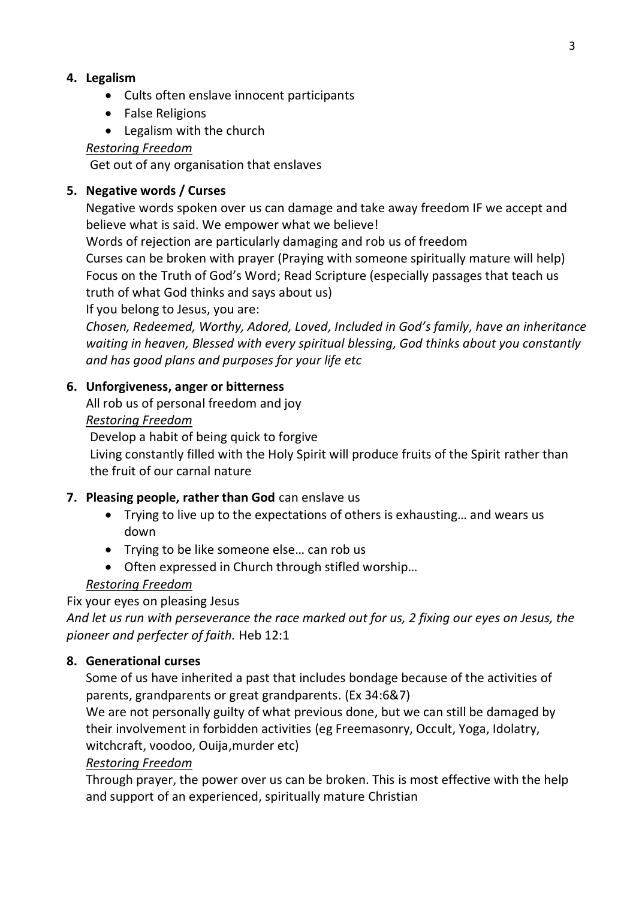## **4. Legalism**

- Cults often enslave innocent participants
- False Religions
- Legalism with the church

### *Restoring Freedom*

Get out of any organisation that enslaves

## **5. Negative words / Curses**

Negative words spoken over us can damage and take away freedom IF we accept and believe what is said. We empower what we believe!

Words of rejection are particularly damaging and rob us of freedom

Curses can be broken with prayer (Praying with someone spiritually mature will help) Focus on the Truth of God's Word; Read Scripture (especially passages that teach us truth of what God thinks and says about us)

If you belong to Jesus, you are:

*Chosen, Redeemed, Worthy, Adored, Loved, Included in God's family, have an inheritance waiting in heaven, Blessed with every spiritual blessing, God thinks about you constantly and has good plans and purposes for your life etc*

## **6. Unforgiveness, anger or bitterness**

All rob us of personal freedom and joy

#### *Restoring Freedom*

Develop a habit of being quick to forgive

Living constantly filled with the Holy Spirit will produce fruits of the Spirit rather than the fruit of our carnal nature

# **7. Pleasing people, rather than God** can enslave us

- Trying to live up to the expectations of others is exhausting… and wears us down
- Trying to be like someone else... can rob us
- Often expressed in Church through stifled worship…

# *Restoring Freedom*

Fix your eyes on pleasing Jesus

*And let us run with perseverance the race marked out for us, 2 fixing our eyes on Jesus, the pioneer and perfecter of faith.* Heb 12:1

#### **8. Generational curses**

Some of us have inherited a past that includes bondage because of the activities of parents, grandparents or great grandparents. (Ex 34:6&7)

We are not personally guilty of what previous done, but we can still be damaged by their involvement in forbidden activities (eg Freemasonry, Occult, Yoga, Idolatry, witchcraft, voodoo, Ouija,murder etc)

#### *Restoring Freedom*

Through prayer, the power over us can be broken. This is most effective with the help and support of an experienced, spiritually mature Christian